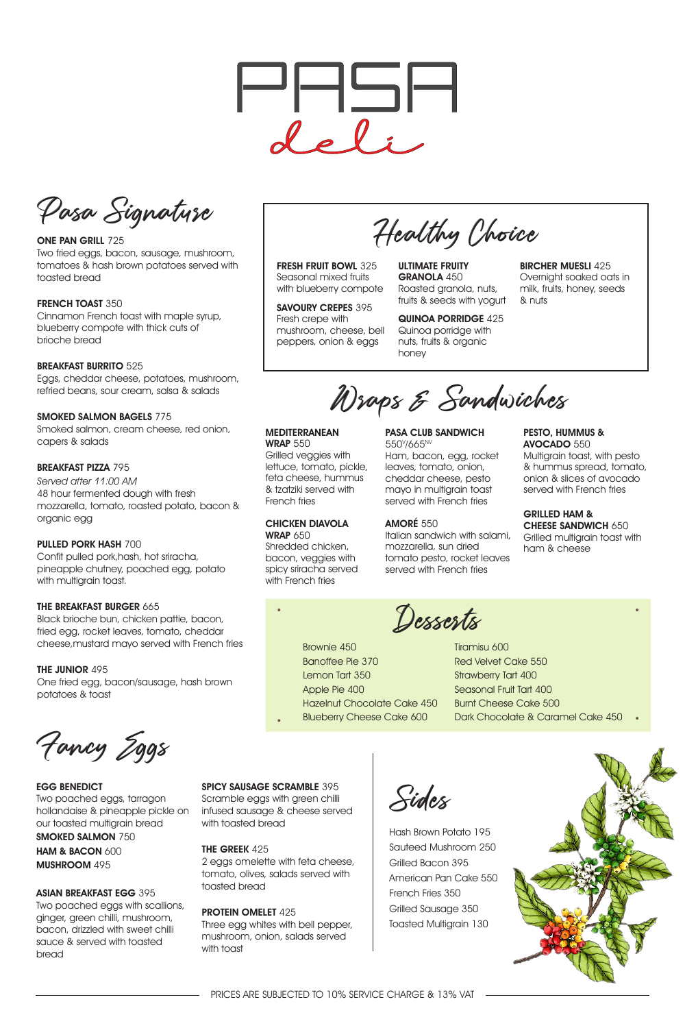## EGG BENEDICT

Two poached eggs, tarragon hollandaise & pineapple pickle on our toasted multigrain bread SMOKED SALMON 750 HAM & BACON 600 MUSHROOM 495

## ASIAN BREAKFAST EGG 395

Scramble eggs with green chilli infused sausage & cheese served with toasted bread

Two poached eggs with scallions, ginger, green chilli, mushroom, bacon, drizzled with sweet chilli sauce & served with toasted bread

Three egg whites with bell pepper, mushroom, onion, salads served with toast

## SPICY SAUSAGE SCRAMBLE 395

 $\bullet$ 

ONE PAN GRILL 725 Two fried eggs, bacon, sausage, mushroom, tomatoes & hash brown potatoes served with toasted bread

#### FRENCH TOAST 350

THE GREEK 425 2 eggs omelette with feta cheese, tomato, olives, salads served with toasted bread

PROTEIN OMELET 425

Fancy Eggs

Sides

Confit pulled pork,hash, hot sriracha, pineapple chutney, poached egg, potato with multigrain toast.

## THE BREAKFAST BURGER 665

Hash Brown Potato 195 Sauteed Mushroom 250 Grilled Bacon 395 American Pan Cake 550 French Fries 350 Grilled Sausage 350 Toasted Multigrain 130





Pasa Signature

FRESH FRUIT BOWL 325 Seasonal mixed fruits with blueberry compote

SAVOURY CREPES 395

Cinnamon French toast with maple syrup, blueberry compote with thick cuts of brioche bread

Healthy Choice

### BREAKFAST BURRITO 525

#### MEDITERRANEAN **WRAP 550**

Eggs, cheddar cheese, potatoes, mushroom, refried beans, sour cream, salsa & salads

#### CHICKEN DIAVOLA **WRAP 650**

Shredded chicken, bacon, veggies with spicy sriracha served with French fries

## SMOKED SALMON BAGELS 775

#### PASA CLUB SANDWICH 550<sup>v</sup>/665<sup>NV</sup>

Smoked salmon, cream cheese, red onion, capers & salads

## BREAKFAST PIZZA 795

Served after 11:00 AM 48 hour fermented dough with fresh mozzarella, tomato, roasted potato, bacon & organic egg

Multigrain toast, with pesto & hummus spread, tomato, onion & slices of avocado served with French fries

## PULLED PORK HASH 700

#### GRILLED HAM & CHEESE SANDWICH 650

Black brioche bun, chicken pattie, bacon, fried egg, rocket leaves, tomato, cheddar cheese,mustard mayo served with French fries

## THE JUNIOR 495

One fried egg, bacon/sausage, hash brown potatoes & toast

Fresh crepe with mushroom, cheese, bell peppers, onion & eggs

ULTIMATE FRUITY GRANOLA 450 Roasted granola, nuts, fruits & seeds with yogurt

#### QUINOA PORRIDGE 425

Quinoa porridge with nuts, fruits & organic honey

BIRCHER MUESLI 425

Overnight soaked oats in milk, fruits, honey, seeds & nuts

Wraps & Sandwiches

Grilled veggies with lettuce, tomato, pickle, feta cheese, hummus & tzatziki served with French fries

Ham, bacon, egg, rocket leaves, tomato, onion, cheddar cheese, pesto mayo in multigrain toast served with French fries

# AMORÉ 550

Italian sandwich with salami, mozzarella, sun dried tomato pesto, rocket leaves served with French fries

#### PESTO, HUMMUS & AVOCADO 550

Grilled multigrain toast with ham & cheese

 $\bullet$ 

Apple Pie 400

Hazelnut Chocolate Cake 450

PRICES ARE SUBJECTED TO 10% SERVICE CHARGE & 13% VAT

Brownie 450 Banoffee Pie 370 Lemon Tart 350 Desserts

Tiramisu 600 Red Velvet Cake 550 Strawberry Tart 400 Seasonal Fruit Tart 400 Burnt Cheese Cake 500